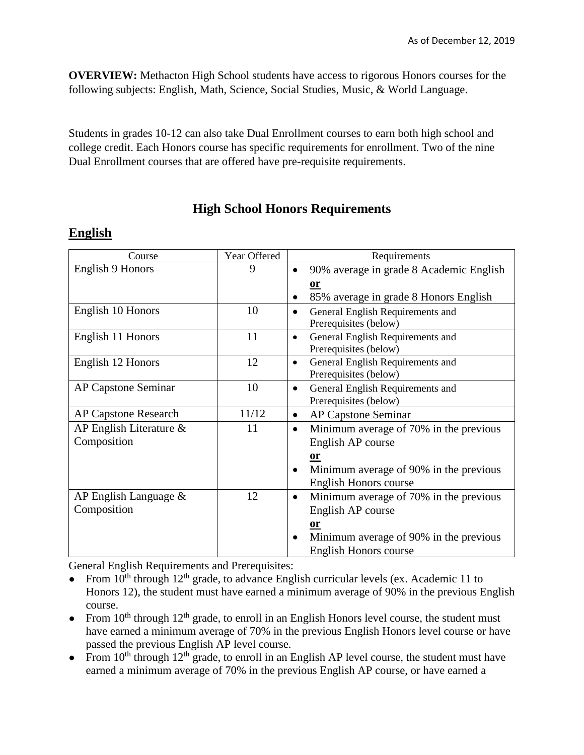**OVERVIEW:** Methacton High School students have access to rigorous Honors courses for the following subjects: English, Math, Science, Social Studies, Music, & World Language.

Students in grades 10-12 can also take Dual Enrollment courses to earn both high school and college credit. Each Honors course has specific requirements for enrollment. Two of the nine Dual Enrollment courses that are offered have pre-requisite requirements.

**High School Honors Requirements**

#### **English**

| Course                      | Year Offered | Requirements                                        |  |  |
|-----------------------------|--------------|-----------------------------------------------------|--|--|
| <b>English 9 Honors</b>     | 9            | 90% average in grade 8 Academic English             |  |  |
|                             |              | or                                                  |  |  |
|                             |              | 85% average in grade 8 Honors English               |  |  |
| English 10 Honors           | 10           | General English Requirements and<br>$\bullet$       |  |  |
|                             |              | Prerequisites (below)                               |  |  |
| English 11 Honors           | 11           | General English Requirements and<br>$\bullet$       |  |  |
|                             |              | Prerequisites (below)                               |  |  |
| English 12 Honors           | 12           | General English Requirements and<br>$\bullet$       |  |  |
|                             |              | Prerequisites (below)                               |  |  |
| AP Capstone Seminar         | 10           | General English Requirements and<br>$\bullet$       |  |  |
|                             |              | Prerequisites (below)                               |  |  |
| <b>AP Capstone Research</b> | 11/12        | <b>AP Capstone Seminar</b><br>$\bullet$             |  |  |
| AP English Literature &     | 11           | Minimum average of 70% in the previous<br>$\bullet$ |  |  |
| Composition                 |              | English AP course                                   |  |  |
|                             |              | or                                                  |  |  |
|                             |              | Minimum average of 90% in the previous<br>$\bullet$ |  |  |
|                             |              | <b>English Honors course</b>                        |  |  |
| AP English Language $\&$    | 12           | Minimum average of 70% in the previous<br>$\bullet$ |  |  |
| Composition                 |              | English AP course                                   |  |  |
|                             |              | <u>or</u>                                           |  |  |
|                             |              | Minimum average of 90% in the previous<br>$\bullet$ |  |  |
|                             |              | <b>English Honors course</b>                        |  |  |

General English Requirements and Prerequisites:

- From  $10^{th}$  through  $12^{th}$  grade, to advance English curricular levels (ex. Academic 11 to Honors 12), the student must have earned a minimum average of 90% in the previous English course.
- From  $10^{th}$  through  $12^{th}$  grade, to enroll in an English Honors level course, the student must have earned a minimum average of 70% in the previous English Honors level course or have passed the previous English AP level course.
- From  $10^{th}$  through  $12^{th}$  grade, to enroll in an English AP level course, the student must have earned a minimum average of 70% in the previous English AP course, or have earned a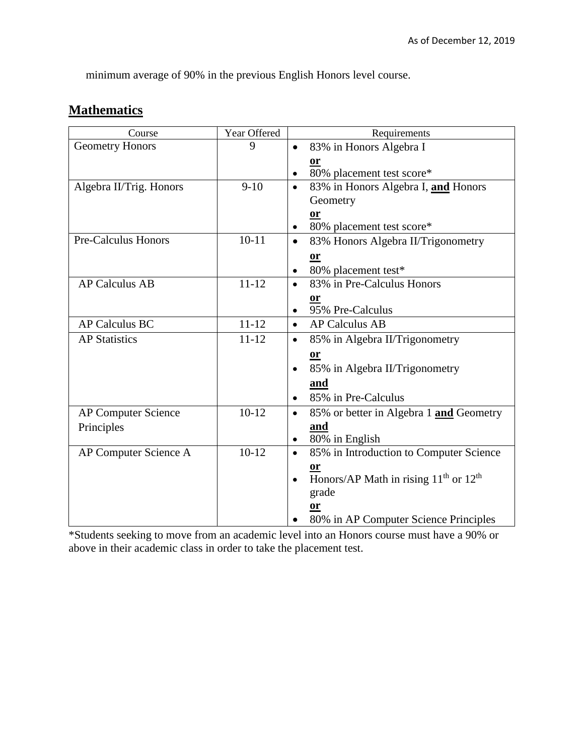minimum average of 90% in the previous English Honors level course.

#### **Mathematics**

| Course                     | Year Offered | Requirements                                           |  |  |
|----------------------------|--------------|--------------------------------------------------------|--|--|
| <b>Geometry Honors</b>     | 9            | 83% in Honors Algebra I                                |  |  |
|                            |              | 0r                                                     |  |  |
|                            |              | 80% placement test score*                              |  |  |
| Algebra II/Trig. Honors    | $9-10$       | 83% in Honors Algebra I, and Honors<br>$\bullet$       |  |  |
|                            |              | Geometry                                               |  |  |
|                            |              | or                                                     |  |  |
|                            |              | 80% placement test score*                              |  |  |
| <b>Pre-Calculus Honors</b> | $10 - 11$    | 83% Honors Algebra II/Trigonometry<br>$\bullet$        |  |  |
|                            |              | <b>or</b>                                              |  |  |
|                            |              | 80% placement test*                                    |  |  |
| <b>AP Calculus AB</b>      | $11 - 12$    | 83% in Pre-Calculus Honors                             |  |  |
|                            |              | or                                                     |  |  |
|                            |              | 95% Pre-Calculus                                       |  |  |
| <b>AP Calculus BC</b>      | $11 - 12$    | <b>AP Calculus AB</b><br>$\bullet$                     |  |  |
| <b>AP Statistics</b>       | $11 - 12$    | 85% in Algebra II/Trigonometry<br>$\bullet$            |  |  |
|                            |              | <b>or</b>                                              |  |  |
|                            |              | 85% in Algebra II/Trigonometry<br>$\bullet$            |  |  |
|                            |              | and                                                    |  |  |
|                            |              | 85% in Pre-Calculus                                    |  |  |
| <b>AP Computer Science</b> | $10-12$      | 85% or better in Algebra 1 and Geometry                |  |  |
| Principles                 |              | <u>and</u>                                             |  |  |
|                            |              | 80% in English<br>$\bullet$                            |  |  |
| AP Computer Science A      | $10-12$      | 85% in Introduction to Computer Science<br>$\bullet$   |  |  |
|                            |              | $or$                                                   |  |  |
|                            |              | Honors/AP Math in rising $11th$ or $12th$<br>$\bullet$ |  |  |
|                            |              | grade                                                  |  |  |
|                            |              |                                                        |  |  |
|                            |              | 80% in AP Computer Science Principles                  |  |  |

\*Students seeking to move from an academic level into an Honors course must have a 90% or above in their academic class in order to take the placement test.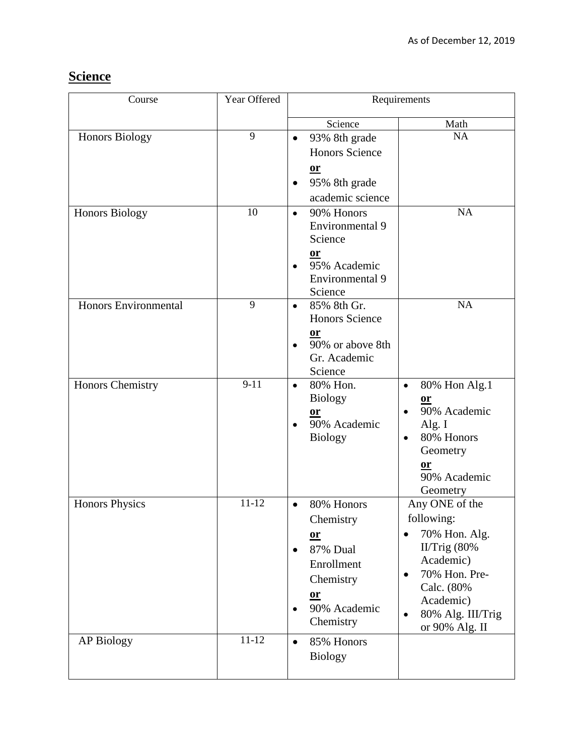# **Science**

| Course                      | Year Offered | Requirements                        |                                   |
|-----------------------------|--------------|-------------------------------------|-----------------------------------|
|                             |              | Science                             | Math                              |
| Honors Biology              | 9            | 93% 8th grade<br>$\bullet$          | <b>NA</b>                         |
|                             |              | <b>Honors Science</b>               |                                   |
|                             |              | $\underline{\mathbf{or}}$           |                                   |
|                             |              | 95% 8th grade<br>$\bullet$          |                                   |
|                             |              | academic science                    |                                   |
| <b>Honors Biology</b>       | 10           | 90% Honors<br>$\bullet$             | <b>NA</b>                         |
|                             |              | Environmental 9                     |                                   |
|                             |              | Science                             |                                   |
|                             |              | $or$                                |                                   |
|                             |              | 95% Academic<br>$\bullet$           |                                   |
|                             |              | Environmental 9                     |                                   |
| <b>Honors Environmental</b> | 9            | Science<br>85% 8th Gr.<br>$\bullet$ | NA                                |
|                             |              | <b>Honors Science</b>               |                                   |
|                             |              | <u>or</u>                           |                                   |
|                             |              | 90% or above 8th                    |                                   |
|                             |              | Gr. Academic                        |                                   |
|                             |              | Science                             |                                   |
| <b>Honors Chemistry</b>     | $9-11$       | 80% Hon.<br>$\bullet$               | 80% Hon Alg.1<br>$\bullet$        |
|                             |              | <b>Biology</b>                      | $or$                              |
|                             |              | <b>or</b>                           | 90% Academic<br>$\bullet$         |
|                             |              | 90% Academic<br><b>Biology</b>      | Alg. I<br>80% Honors<br>$\bullet$ |
|                             |              |                                     | Geometry                          |
|                             |              |                                     | or                                |
|                             |              |                                     | 90% Academic                      |
|                             |              |                                     | Geometry                          |
| <b>Honors Physics</b>       | $11 - 12$    | 80% Honors<br>$\bullet$             | Any ONE of the                    |
|                             |              | Chemistry                           | following:                        |
|                             |              | $or$                                | 70% Hon. Alg.<br>$\bullet$        |
|                             |              | 87% Dual                            | II/Trig $(80\%$                   |
|                             |              | Enrollment                          | Academic)                         |
|                             |              | Chemistry                           | 70% Hon. Pre-<br>$\bullet$        |
|                             |              | $or$                                | Calc. (80%<br>Academic)           |
|                             |              | 90% Academic                        | 80% Alg. III/Trig<br>$\bullet$    |
|                             |              | Chemistry                           | or 90% Alg. II                    |
| <b>AP Biology</b>           | $11 - 12$    | 85% Honors<br>$\bullet$             |                                   |
|                             |              | <b>Biology</b>                      |                                   |
|                             |              |                                     |                                   |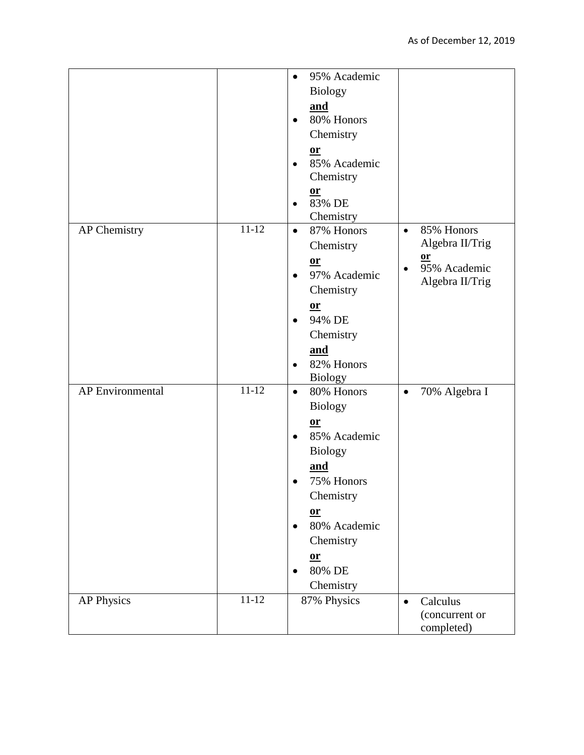|                         |           | 95% Academic<br>$\bullet$ |                                        |
|-------------------------|-----------|---------------------------|----------------------------------------|
|                         |           | <b>Biology</b>            |                                        |
|                         |           | and                       |                                        |
|                         |           | 80% Honors<br>$\bullet$   |                                        |
|                         |           |                           |                                        |
|                         |           | Chemistry                 |                                        |
|                         |           | $or$                      |                                        |
|                         |           | 85% Academic              |                                        |
|                         |           | Chemistry                 |                                        |
|                         |           | $or$                      |                                        |
|                         |           | 83% DE                    |                                        |
|                         | $11 - 12$ | Chemistry                 |                                        |
| AP Chemistry            |           | 87% Honors<br>$\bullet$   | 85% Honors<br>$\bullet$                |
|                         |           | Chemistry                 | Algebra II/Trig                        |
|                         |           | $or$                      | <b>or</b><br>95% Academic<br>$\bullet$ |
|                         |           | 97% Academic<br>$\bullet$ | Algebra II/Trig                        |
|                         |           | Chemistry                 |                                        |
|                         |           | $or$                      |                                        |
|                         |           | 94% DE<br>$\bullet$       |                                        |
|                         |           | Chemistry                 |                                        |
|                         |           | and                       |                                        |
|                         |           | 82% Honors                |                                        |
|                         |           | <b>Biology</b>            |                                        |
| <b>AP</b> Environmental | $11 - 12$ | 80% Honors<br>$\bullet$   | 70% Algebra I<br>$\bullet$             |
|                         |           | <b>Biology</b>            |                                        |
|                         |           |                           |                                        |
|                         |           | $or$                      |                                        |
|                         |           | 85% Academic<br>$\bullet$ |                                        |
|                         |           | <b>Biology</b>            |                                        |
|                         |           | <u>and</u>                |                                        |
|                         |           | 75% Honors                |                                        |
|                         |           | Chemistry                 |                                        |
|                         |           | $or$                      |                                        |
|                         |           | 80% Academic              |                                        |
|                         |           | Chemistry                 |                                        |
|                         |           | $\underline{\mathbf{or}}$ |                                        |
|                         |           | 80% DE                    |                                        |
|                         |           | Chemistry                 |                                        |
| <b>AP Physics</b>       | $11 - 12$ | 87% Physics               | Calculus<br>$\bullet$                  |
|                         |           |                           | (concurrent or                         |
|                         |           |                           | completed)                             |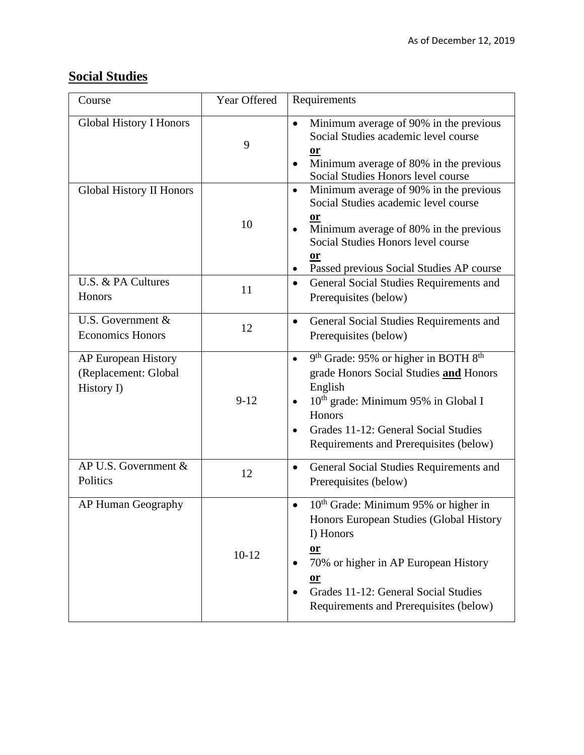# **Social Studies**

| Course                                                           | Year Offered | Requirements                                                                                                                                                                                                                                                     |  |
|------------------------------------------------------------------|--------------|------------------------------------------------------------------------------------------------------------------------------------------------------------------------------------------------------------------------------------------------------------------|--|
| <b>Global History I Honors</b>                                   | 9            | Minimum average of 90% in the previous<br>Social Studies academic level course<br><u>or</u><br>Minimum average of 80% in the previous<br>Social Studies Honors level course                                                                                      |  |
| <b>Global History II Honors</b>                                  | 10           | Minimum average of 90% in the previous<br>$\bullet$<br>Social Studies academic level course<br>or<br>Minimum average of 80% in the previous<br>Social Studies Honors level course<br>or<br>Passed previous Social Studies AP course                              |  |
| U.S. & PA Cultures<br>Honors                                     | 11           | General Social Studies Requirements and<br>$\bullet$<br>Prerequisites (below)                                                                                                                                                                                    |  |
| U.S. Government &<br><b>Economics Honors</b>                     | 12           | General Social Studies Requirements and<br>٠<br>Prerequisites (below)                                                                                                                                                                                            |  |
| <b>AP European History</b><br>(Replacement: Global<br>History I) | $9 - 12$     | 9 <sup>th</sup> Grade: 95% or higher in BOTH 8 <sup>th</sup><br>grade Honors Social Studies and Honors<br>English<br>10 <sup>th</sup> grade: Minimum 95% in Global I<br>Honors<br>Grades 11-12: General Social Studies<br>Requirements and Prerequisites (below) |  |
| AP U.S. Government &<br>Politics                                 | 12           | General Social Studies Requirements and<br>$\bullet$<br>Prerequisites (below)                                                                                                                                                                                    |  |
| AP Human Geography                                               | $10 - 12$    | 10 <sup>th</sup> Grade: Minimum 95% or higher in<br>$\bullet$<br>Honors European Studies (Global History<br>I) Honors<br>$or$<br>70% or higher in AP European History<br>$or$<br>Grades 11-12: General Social Studies<br>Requirements and Prerequisites (below)  |  |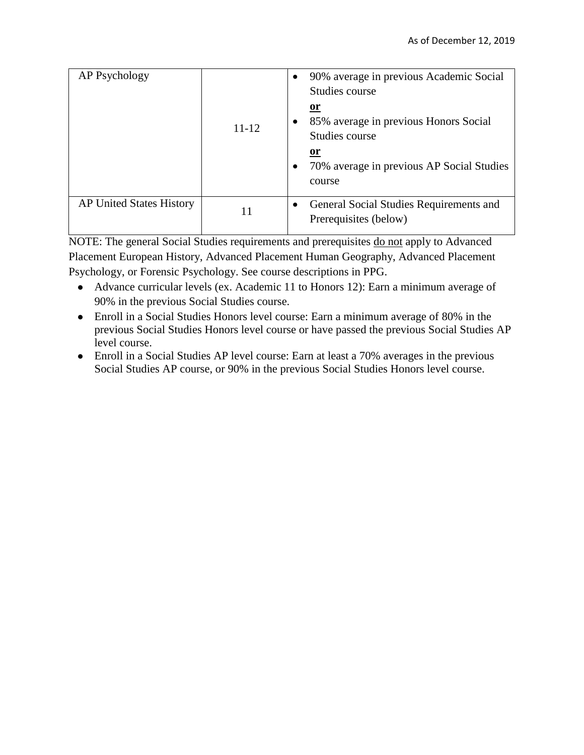| AP Psychology                   | $11 - 12$ | 90% average in previous Academic Social<br>$\bullet$<br>Studies course<br><u>or</u><br>85% average in previous Honors Social<br>Studies course<br>0r<br>70% average in previous AP Social Studies<br>$\bullet$<br>course |
|---------------------------------|-----------|--------------------------------------------------------------------------------------------------------------------------------------------------------------------------------------------------------------------------|
| <b>AP United States History</b> | 11        | General Social Studies Requirements and<br>$\bullet$<br>Prerequisites (below)                                                                                                                                            |

NOTE: The general Social Studies requirements and prerequisites do not apply to Advanced Placement European History, Advanced Placement Human Geography, Advanced Placement Psychology, or Forensic Psychology. See course descriptions in PPG.

- Advance curricular levels (ex. Academic 11 to Honors 12): Earn a minimum average of 90% in the previous Social Studies course.
- Enroll in a Social Studies Honors level course: Earn a minimum average of 80% in the previous Social Studies Honors level course or have passed the previous Social Studies AP level course.
- Enroll in a Social Studies AP level course: Earn at least a 70% averages in the previous Social Studies AP course, or 90% in the previous Social Studies Honors level course.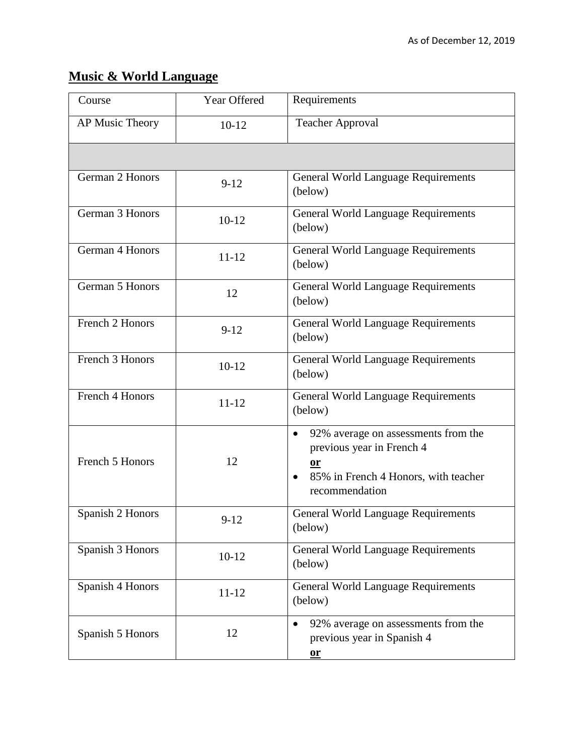# **Music & World Language**

| Course           | Year Offered | Requirements                                                                                                                                               |  |
|------------------|--------------|------------------------------------------------------------------------------------------------------------------------------------------------------------|--|
| AP Music Theory  | $10 - 12$    | <b>Teacher Approval</b>                                                                                                                                    |  |
|                  |              |                                                                                                                                                            |  |
| German 2 Honors  | $9 - 12$     | <b>General World Language Requirements</b><br>(below)                                                                                                      |  |
| German 3 Honors  | $10-12$      | <b>General World Language Requirements</b><br>(below)                                                                                                      |  |
| German 4 Honors  | $11 - 12$    | <b>General World Language Requirements</b><br>(below)                                                                                                      |  |
| German 5 Honors  | 12           | <b>General World Language Requirements</b><br>(below)                                                                                                      |  |
| French 2 Honors  | $9 - 12$     | General World Language Requirements<br>(below)                                                                                                             |  |
| French 3 Honors  | $10 - 12$    | <b>General World Language Requirements</b><br>(below)                                                                                                      |  |
| French 4 Honors  | $11 - 12$    | <b>General World Language Requirements</b><br>(below)                                                                                                      |  |
| French 5 Honors  | 12           | 92% average on assessments from the<br>$\bullet$<br>previous year in French 4<br>or<br>85% in French 4 Honors, with teacher<br>$\bullet$<br>recommendation |  |
| Spanish 2 Honors | $9-12$       | <b>General World Language Requirements</b><br>(below)                                                                                                      |  |
| Spanish 3 Honors | $10 - 12$    | <b>General World Language Requirements</b><br>(below)                                                                                                      |  |
| Spanish 4 Honors | $11 - 12$    | <b>General World Language Requirements</b><br>(below)                                                                                                      |  |
| Spanish 5 Honors | 12           | 92% average on assessments from the<br>previous year in Spanish 4<br>$or$                                                                                  |  |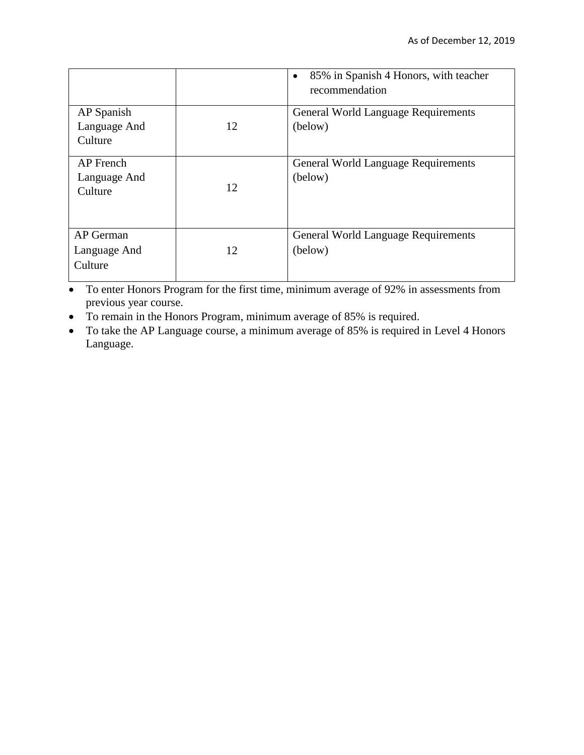|                                             |    | 85% in Spanish 4 Honors, with teacher<br>$\bullet$<br>recommendation |
|---------------------------------------------|----|----------------------------------------------------------------------|
| AP Spanish<br>Language And<br>Culture       | 12 | <b>General World Language Requirements</b><br>(below)                |
| <b>AP</b> French<br>Language And<br>Culture | 12 | <b>General World Language Requirements</b><br>(below)                |
| AP German<br>Language And<br>Culture        | 12 | <b>General World Language Requirements</b><br>(below)                |

• To enter Honors Program for the first time, minimum average of 92% in assessments from previous year course.

To remain in the Honors Program, minimum average of 85% is required.

• To take the AP Language course, a minimum average of 85% is required in Level 4 Honors Language.